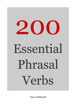

**Clare Whitmell**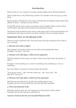# **Introduction**

Phrasal verbs are very common in everyday, spoken English and in informal situations.

They're made from a verb, followed by a particle. For example: work out, log on, go away, fill up...

But the problem with phrasal verbs is that sometimes they are illogical (which makes them difficult to learn) – and there are lots of them!

In this PDF, get the most common 200 phrasal verbs in English. When you know these, you'll be able to take part in conversations and sound more natural.

The phrasal verbs are listed in topic areas to make them easier to learn and remember. For each phrasal verb I show you how to use them, and there's also an example sentence.

# **Important: How we use phrasal verbs**

There are 4 types of phrasal verbs. You need to know the type of phrasal verb in order to use it correctly.

## **1. Phrasal verb with no object**

These phrasal verbs stand on their own. You don't need anything after them. Examples: "Go away!", "Get out!"

## **2. Phrasal verb with object, which can be separated**

With these phrasal verbs you have an object, which can go either before the particle, or after it.

Examples: work something out / work out something; turn something up / turn up something

But, if the object is a pronoun, it must go before the particle:

"Turn up the volume" - OK; "Turn the volume up" - OK; "Turn it up" - OK (But NOT "Turn up it")

## **3. Phrasal verb with object, which can't be separated**

With this type, the object has to go after the complete phrasal verb. Examples: go into (a room), break into (a house), take after somebody

# **4. Three-part phrasal verbs**

With these phrasal verbs, you can't separate any of the particles with an object. Examples: put up with, look up to, look down on

# **And now: Read on for the 200 Essential Phrasal verbs!**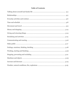# **Table of Contents**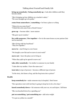# Talking about Yourself and Family Life

#### **bring up somebody / bring somebody up = look after children until they** become adults

"She's bringing up four children on a teacher's salary." "We were brought up to be polite."

#### **come from somewhere / something =** be from a place or a thing

"Where do you come from?" "I think this sofa came from a friend's house."

#### **grow up** = become older / more mature

"She grew up in London."

**live with someone / live together =** live in the same house as your partner (but not be married)

"She's living with her boyfriend." "They live together."

**move in** = start living in a new house

"We bought a new flat and we move in next week!"

**move out** = leave the place you're living in

"When they split up he agreed to move out."

**take after somebody** = be similar to someone in your family

"I take after my mother. I have the same eyes."

**turn into** (a type of person) = become a different type of person

"In the story, she kisses a frog, and the frog turns into a prince!"

#### **Health**

**keep somebody in =** make someone stay in hospital / their house

"Her operation went well, but they're going to keep her in for a few days."

**[knock](http://vocabulary.englishprofile.org/dictionary/show/uk/1039636?showLevel=b1#1187057) somebody down =** hit someone with your car, etc and injure / kill them

"She was knocked down by a speeding car."

#### **[put on something / put something on =](http://vocabulary.englishprofile.org/dictionary/show/uk/1056673?showLevel=b1#2180783)** add extra weight

"I've put on 3 kilos in a month!"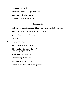#### **[work out =](http://vocabulary.englishprofile.org/dictionary/show/uk/1079621?showLevel=b1#3050871)** do exercises

"She works out at the new gym twice a week."

**pass away** = die (also "pass on")

"His father passed away last year."

# Relationships

### **[look after somebody or something =](http://vocabulary.englishprofile.org/dictionary/show/uk/1041901?showLevel=a2#3025181)** take care of somebody something

"Could you look after my cats when I'm on holiday?"

**[get on =](http://vocabulary.englishprofile.org/dictionary/show/uk/1030263?showLevel=b1#3018504)** have a good relationship

"They get on well."

## **Romantic relationsips**

#### **[go out \(with\) =](http://vocabulary.englishprofile.org/dictionary/show/uk/1030789?showLevel=b1#3305457)** [date somebody](http://vocabulary.englishprofile.org/dictionary/show/uk/1030789?showLevel=b1#3305457)

"How long have they been going out?" "Is he still going out with Jane?"

## **[break up =](http://vocabulary.englishprofile.org/dictionary/show/uk/1009538?showLevel=b1#3005625)** end a relationship

"They broke up after a year."

#### **[split up =](http://vocabulary.englishprofile.org/dictionary/show/uk/1067322?showLevel=b1#2182482)** end a relationship

"I've heard that Dave and Sue have split up."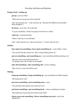# Everyday Activities and Routines

## **Going to bed / waking up**

**get up** = get out of bed

"What time do you get up at the weekend?

(Also "get someone up" = wake someone up: "She gets the children up and makes them breakfast.")

**lie down** = go to bed / lie on the bed

"I've got a headache. I think I'm going to lie down for a while."

**wake up** = stop being asleep

"When I woke up, it was still dark."

(Also "wake someone up / wake up someone": "A noise woke me up.")

## **Clothes**

# **have (got) on something / have (got) something on** = wear clothes / shoes

"You can tell who the waiters are. They've all got black jackets on."

## **put on something / put something on =** wear something (clothes/makeup, etc)

"She put on her coat and left the house." "I'm going to put a bit of make up on tonight."

# **take off something / take something off =** remove clothing

"She was hot, so she took off her coat."

# **Tidying**

# **hang up something / hang something up =** put something on clothes hangers

"She hung up her coat."

# **put away something / put something away** = store

"Lets put these decorations away until next year."

# **put back something / put something back** = return something to its place

"She picked up a book, then put it back on the shelf."

**throw away/out something / throw something away/out = put in the** rubbish bin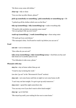"He threw away some old clothes."

**clear up** = tidy or clean

"Can you clear up after dinner, please?"

## **pick up somebody or something / pick somebody or something up =** lift

"I picked up all the clothes which were on the floor."

## **tidy up (something) / tidy (something) up =** make everything tidy

"I'll need to tidy up before my parents come round." "Are you going to tidy up your room?"

## **wash up (something) / wash (something) up = clean using water**

"I'll wash up if you cook dinner."

"The saucepan's dirty. You'll need to wash it up before you can use it."

### **Food**

**[eat out =](http://vocabulary.englishprofile.org/dictionary/show/uk/1021420?showLevel=b1#3014927)** eat in restaurants

"How often do you eat out?"

**take away (something) / take (something) away =** food that you buy and take home (or to another place) to eat

"Two fishcakes to take away, please."

## **Phrasals with stay**

**[stay in =](http://vocabulary.englishprofile.org/dictionary/show/uk/1068215?showLevel=b1#3307191)** stay at home rather than go out

"I tend to stay in during the week."

(see also "go out" in the "Movement & Travel" section)

**stay out** = not come home until late at night (or not come home at all)

"I can't stay out late tonight. I've got to get up early tomorrow."

**stay over** = spend the night somewhere else

"You can stay over if you don't want to drive back tonight."

**stay up** = go to bed late

"She stayed up until 3 am waiting for her son to come home."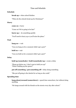# Time and Schedule

## **Schedule**

**[break up =](http://vocabulary.englishprofile.org/dictionary/show/uk/1009538?showLevel=b1#3308376)** when school finishes

"When do the schools break up for Christmas?"

## **Hurry**

#### **come on =** hurry

"Come on! We're going to be late!"

**[hurry up =](http://vocabulary.englishprofile.org/dictionary/show/uk/1035387?showLevel=b1#3021879)** do something quickly

"You'll need to hurry up or you'll miss the plane."

#### **Wait**

**[hang on =](http://vocabulary.englishprofile.org/dictionary/show/uk/1032769?showLevel=b1#3019953)** wait

"Can you hang on for a moment while I get a pen?"

**[hold on =](http://vocabulary.englishprofile.org/dictionary/show/uk/1034324?showLevel=b1#3305687)** wait

"Can you hold on for a moment while I get a pen?"

#### **Delay**

## **[hold up \(somebody\) / hold \(somebody\) up =](http://vocabulary.englishprofile.org/dictionary/show/uk/1034324?showLevel=b1#3021364)** create a delay

"Please go before me. I don't want to hold you up!" "What's holding up the queue?"

## **put off something / put something off** = delay doing something

"She put off going to the dentist for as long as she could."

#### **Spending time**

**[hang about/around \(](http://vocabulary.englishprofile.org/dictionary/show/uk/1032769?showLevel=b1#2182418)somewhere) =** spend time somewhere, but without doing anything

"He hangs around with his friends on the streets every day after school."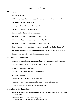# Movement and Travel

#### **Movement**

**get up** = stand up

"He's very polite and always gets up when someone comes into the room."

**fall down** = to fall to the ground

"A couple of trees fell down in the storm."

**fall over =** lose your balance and fall

"I fell over a toy that he left on the carpet."

## **put up something / put something up =** raise

"If you know the answer you can put up your hand."

## **put up something / put something up = erect a sign**

"Lets put a sign up so people know where to park their cars during the party."

## **put down something / put something down =** put something on the floor

"I put my book down for a minute, and someone took it."

## **Approaching / Going away**

## **catch up somebody / or catch somebody up** = manage to reach someone

"He's just left for the bus. You'll have to run to catch him up."

**come up** = approach somebody

"He came up to me and asked me for directions."

**get away** = escape

"The police chased the men, but they got away."

**run away** = leave your home / another place without telling anyone

"Nobody was surprised when he ran away from home."

## **Going into or leaving a place**

**break in or break into something =** go into a building using force in order to steal something

"Thieves broke in and stole some computers." "He broke into the house when they were on holiday."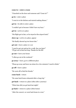#### **come in = enter a room**

"I knocked on the door and someone said "Come in!""

**go in** = enter a place

"I went in to the kitchen and started making dinner."

**[get in =](http://vocabulary.englishprofile.org/dictionary/show/uk/1030263?showLevel=b1#3018482)** be able to enter a place

"I couldn't get in because I didn't have my keys."

**[get in =](http://vocabulary.englishprofile.org/dictionary/show/uk/1030263?showLevel=b1#3305329)** arrive at a place

"His flight got in late, so he stayed at the airport hotel."

**[show up =](http://vocabulary.englishprofile.org/dictionary/show/uk/1064120?showLevel=b1#3036144)** arrive at a place, appear

"He finally showed up two hours late."

**[get out =](http://vocabulary.englishprofile.org/dictionary/show/uk/1030263?showLevel=b1#3018511)** leave a place or a car

"I need to get out and go for a walk. See you later!" "I'll get out at that bus stop. Thanks for the lift!

**[go out =](http://vocabulary.englishprofile.org/dictionary/show/uk/1030789?showLevel=a1#3018918)** leave your house

"I often go out at the weekend."

**[go away =](http://vocabulary.englishprofile.org/dictionary/show/uk/1030789?showLevel=b1#3305421)** leave**,** go to a different place

"Please go away and leave me alone for a few minutes! I need to think."

**[go off =](http://vocabulary.englishprofile.org/dictionary/show/uk/1030789?showLevel=b1#2001481)** leave a place

"He went off to find his friends."

**[come back =](http://vocabulary.englishprofile.org/dictionary/show/uk/1026864?showLevel=a2#3010902)** return

"He came back home exhausted after a long trip."

**[get back =](http://vocabulary.englishprofile.org/dictionary/show/uk/1030263?showLevel=a2#3018536)** return to a place (often after a journey)

"What time did you get back last night?

**[go back =](http://vocabulary.englishprofile.org/dictionary/show/uk/1030789?showLevel=b1#2001473)** return to a place (often home)

"After the concert, we went back home in a taxi."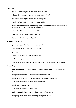### **Transport**

**[get on \(something\) =](http://vocabulary.englishprofile.org/dictionary/show/uk/1030263?showLevel=a2#3305339)** go onto a bus, train or plane

"The quickest way to the station is to get on the 137 bus."

**get off (something)** = leave a bus, train or plane

"You'll need to get off the bus just after the bridge."

**run over somebody or something / run somebody or something over** = hit someone / something when you are driving

"He felt terrible when he ran over a cat."

**[take off =](http://vocabulary.englishprofile.org/dictionary/show/uk/1070886?showLevel=a2#3043982)** [when a plane goes into the sky](http://vocabulary.englishprofile.org/dictionary/show/uk/1070886?showLevel=a2#3043982)

"What time does the plane take off?"

## **Holidays / Visiting**

**get away** = go on holiday because you need it

"I hope we'll be able to get away this summer."

**[go away =](http://vocabulary.englishprofile.org/dictionary/show/uk/1030789?showLevel=b1#3305425)** to travel

"They're going away to Rome for a few days."

**look around/round somewhere** = visit a place

"We had a couple of hours to look around the shops when we went to Stratford."

## **Travelling**

**book somebody in / book somebody into something =** organise to stay in a hotel

"Can you book me into a hotel near the conference centre?"

**[check in =](http://vocabulary.englishprofile.org/dictionary/show/uk/1012517?showLevel=b1#3009833)** tell someone (in a hotel / airport) that you have arrived

"What time do we need to check in for the flight?"

**[check out =](http://vocabulary.englishprofile.org/dictionary/show/uk/1012517?showLevel=b1#3009836)** leave a hotel

"What time do we need to check out?"

## **[pick up somebody / pick somebody up =](http://vocabulary.englishprofile.org/dictionary/show/uk/1052782?showLevel=a2#1093412)** collect someone

"Can you pick me up at the station? My train gets in at 8.15."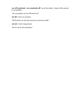**see off somebody / see somebody off** = go to the station / airport with a person to say goodbye

"Are you going to see me off tomorrow?"

**[set off =](http://vocabulary.englishprofile.org/dictionary/show/uk/1063196?showLevel=b1#3307072)** leave on a journey

"We'll need to set off early tomorrow to beat the traffic."

**[set out =](http://vocabulary.englishprofile.org/dictionary/show/uk/1063196?showLevel=b1#3307076)** start a long journey

"He set out for the mountains."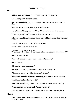## **Money**

## **[add up something / add something up =](http://vocabulary.englishprofile.org/dictionary/show/uk/1002149?showLevel=b1#3001978)** add figures together

"He added up all the money he earned."

#### **[pay back somebody / pay somebody back](http://vocabulary.englishprofile.org/dictionary/show/uk/1051492?showLevel=b1#3029849)** = pay someone money you owe them

"Can I borrow some money? I'll pay you back tomorrow."

## **pay off something / pay something off** = pay all the money that you owe

"When you get a job you'll have to pay off your student loan."

#### **take out something / take something out** = withdraw money from your bank account

"I need to take some money out before our holiday."

**come down** = become less or lower

"The price of smartphones has come down." "You should wait until the prices come down in the sales before you buy a new TV."

**[go down =](http://vocabulary.englishprofile.org/dictionary/show/uk/1030789?showLevel=b1#2001477)**become less

"When prices go down, more people will spend their money."

**[go up =](http://vocabulary.englishprofile.org/dictionary/show/uk/1030789?showLevel=b1#3305471)** [increase](http://vocabulary.englishprofile.org/dictionary/show/uk/1030789?showLevel=b1#3305471)

"House prices are going up again."

# **[put up something / put something up =](http://vocabulary.englishprofile.org/dictionary/show/uk/1056673?showLevel=b1#1093784) increase the price**

"The supermarkets keep putting the price of coffee up."

# **bring back something / bring something back =** return an item to a shop

"Can I bring this back if it doesn't fit?"

# **[take back something / take something back =](http://vocabulary.englishprofile.org/dictionary/show/uk/1070886?showLevel=b1#3043964)** return an item to a shop

"You should take that jumper back if it's got a hole in it."

(Also "get back" and "send back" in the section on "Giving & Returning things")

# **Clothes**

**[try on something / try something](http://vocabulary.englishprofile.org/dictionary/show/uk/1074289?showLevel=a2#3045779) =** wear something before you buy it so you know if it fits you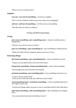"Where can I try on these jeans?"

## **Supplies**

## **[run out / run out of something =](http://vocabulary.englishprofile.org/dictionary/show/uk/1060743?showLevel=b1#3306998)** [use all your supplies](http://vocabulary.englishprofile.org/dictionary/show/uk/1060743?showLevel=b1#3306998)

"We've run out of bread. Could you get some when you go shopping?"

## **sell out / sell out of something** = sell all you have of something

"The shop sold out of the new iPhone."

# Giving and Returning things

## **Giving**

**[give away something / give something away =](http://vocabulary.englishprofile.org/dictionary/show/uk/1030468?showLevel=b1#3018634)** donate to another person / organisation

"She gave away all her money to charity."

## **[pass on something / pass something on =](http://vocabulary.englishprofile.org/dictionary/show/uk/1051197?showLevel=b1#3306577) give something to another person**

"When you finish with the magazine, please pass it on to Tracy."

## **Returning things**

**[give back something / give something back =](http://vocabulary.englishprofile.org/dictionary/show/uk/1030468?showLevel=a2#3018638)** return something you took

"I'll give you your phone back at the end of the lesson."

## **[bring back s](http://vocabulary.englishprofile.org/dictionary/show/uk/1009745?showLevel=a2#3005731)omething / bring something back =** return with something

"She brought back some souvenirs from holiday."

## **[get back something / get something back =](http://vocabulary.englishprofile.org/dictionary/show/uk/1030263?showLevel=b1#3018472)** have something returned to you

"I want to get my money back!" "I lent my car to him last week and I still haven't got it back!"

#### **[send](http://vocabulary.englishprofile.org/dictionary/show/uk/1062955?showLevel=b1#3035490) something back / send back something = return something (because it** isn't right in some way)

"I always buy things online, because it's easy to send them back if I don't like them."

#### **[take back something / take something back =](http://vocabulary.englishprofile.org/dictionary/show/uk/1070886?showLevel=b1#3043964)** take something to its original place

"Can you take this book back to the library for me?"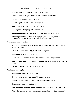# Socialising and Activities With Other People

### **[catch up with somebody =](http://vocabulary.englishprofile.org/dictionary/show/uk/1011726?showLevel=b1#1186057)** meet a friend and chat

"I haven't seen you in ages. There's lots we need to catch up with!"

**[get together =](http://vocabulary.englishprofile.org/dictionary/show/uk/1030263?showLevel=b1#3305347)** spend time with friends

"We often get together for a drink in the pub."

**[hang out =](http://vocabulary.englishprofile.org/dictionary/show/uk/1032769?showLevel=b1#3019959)** spend time with a group of friends

"He hangs out with a group of kids from school."

**join in (something)** = get involved with what other people are doing

"She always watches the other children playing, but she never joins in." "At Christmas, everyone joins in with the food preparations."

### **Going somewhere together**

**[call for](http://vocabulary.englishprofile.org/dictionary/show/uk/1010831?showLevel=b1#1185946) somebody =** collect someone from a place (often their house), then go together to a place

"I'll call for you tomorrow at 7.30, if that's OK for you."

**[come along =](http://vocabulary.englishprofile.org/dictionary/show/uk/1026864?showLevel=b1#3010894)** accompany someone

"We're going to London tomorrow. Why don't you come along with us?"

**[take out somebody / take somebody out =](http://vocabulary.englishprofile.org/dictionary/show/uk/1070886?showLevel=b1#3043990)** take someone to a place as a treat / outing

"She took her children out to the beach for a day."

## **Visit someone / a place**

```
come round = go to someone's house
```
"Do you want to come round tonight? I can cook dinner."

## **[show somebody around /round =](http://vocabulary.englishprofile.org/dictionary/show/uk/1064120?showLevel=b1#3307101) show a place to someone**

"Let me show you round the house."

**take somebody around/round (somewhere)** = to show someone a place

"When they came to London, I took them around and showed them the sights."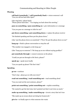# Communicating and Reacting to Other People

## **Phoning**

**[call back \(somebody/ / call \(somebody\) back =](http://vocabulary.englishprofile.org/dictionary/show/uk/1010831?showLevel=a2#1185942)** return someone's call "Can you call me back after 6pm?"

(also ring back / phone back) "Please phone back later." "I'm ringing you back about the meeting."

**pass on something / pass something on =** give information or a message

"Can you pass on a message to Julie for me?"

**[put down something / put something down =](http://vocabulary.englishprofile.org/dictionary/show/uk/1056673?showLevel=b1#3306840)** replace the phone receiver

"He finished speaking and then put the phone down."

(Also "put the phone down on somebody") "Wow! He put the phone down on me!"

**[hang up =](http://vocabulary.englishprofile.org/dictionary/show/uk/1032769?showLevel=b1#3305597)** finish a phone conversation or stop the call

"The number was engaged, so she hung up."

(Also "hang up on someone") "He hung up on me without saying goodbye!"

**[put somebody through =](http://vocabulary.englishprofile.org/dictionary/show/uk/1056673?showLevel=b1#3032467)** connect someone on the phone

"Could you put me through to Mr Davis, please?"

**speak up** = speak more loudly

"Can you speak up please? The line's bad."

#### **Speaking**

**[go on =](http://vocabulary.englishprofile.org/dictionary/show/uk/1030789?showLevel=b1#2001518)** continue

"Don't stop - please go on with your story!"

**read out something / read something out** = read something aloud

"Can you read out the next sentence, please?"

**point out something / point something out** = explain something

"He wanted to get the fast train, but I pointed out that it cost twice as much."

**make up something / make something up** = invent a story that isn't true

"She made up an excuse about not doing her homework."

**[give in =](http://vocabulary.englishprofile.org/dictionary/show/uk/1030468?showLevel=b1#3018639)** to finally agree to what someone else wants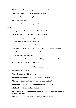"The kids kept asking for a dog, and we finally gave in."

**[Look out! =](http://vocabulary.englishprofile.org/dictionary/show/uk/1041901?showLevel=b1#3306066)** what you say in a dangerous situation

"Look out! There's a car coming!"

**watch out** = be careful

"Watch out! There's an extra step here!"

## **Writing**

## **[fill in /out something / fill something in / out =](http://vocabulary.englishprofile.org/dictionary/show/uk/1025303?showLevel=a2#3016628) complete a form**

"To get a loyalty card, you'll need to fill out this form."

**[sign up =](http://vocabulary.englishprofile.org/dictionary/show/uk/1064443?showLevel=b1#2182468)** write your name to register for an activity

"Have you signed up for yoga classes yet?"

**stand for** = when letters represent words

"What does BBC stand for?" "I think it's British Broadcasting Corporation."

**write back** = write in reply to someone's letter

"He wrote back to the company."

**[write d](http://vocabulary.englishprofile.org/dictionary/show/uk/1079957?showLevel=b1#2002646)own [something / write something down =](http://vocabulary.englishprofile.org/dictionary/show/uk/1079957?showLevel=b1#2002646) write something important** 

"Can you write this down in your books?"

# Make Public

**come out** = be available

"When does their new CD come out?"

## **give out something / give something out** = distribute

"They gave out bottles of water to people on the marathon."

## **hand out something / hand something out** = distribute

"She handed out flyers to all the students."

#### **pass around/round something or pass something around/round** = distribute something

"She opened a packet of biscuits and then passed them round."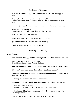# Feelings and Emotions

#### **calm down (somebody) / calm (somebody) down** = feel less angry or upset

"You need to calm down and tell me what happened!" "The students were worried about the exam, and it took me ages to calm them down."

#### **cheer up (somebody) / cheer (somebody) up** = make someone feel happier

"Cheer up! It's your birthday! "I think I'm going to get her some flowers to cheer her up."

**chill out** = relax and not feel stressed

"Chill out! It doesn't matter if we're late for the meeting!"

**get somebody down** = make someone feel unhappy

"Work is really getting me down at the moment."

# Thinking and Deciding

#### **Get information**

## **find out (something) / find (something) out** = find the information you need

"Can you find out what time the film starts?" "I don't know what he wants. I'll try to find out."

## **[look up something / look something up =](http://vocabulary.englishprofile.org/dictionary/show/uk/1041901?showLevel=b1#3025203) find information in a book / online**

"If you don't know the meaning of a word, look it up in a dictionary."

#### **figure out something or somebody / figure something / somebody out** = work out, understand

"I can't figure out why he wants to leave university."

#### **work out something / work something out** = find a solution (also in maths)

"I can't work out the percentage." "It took then an hour to work out the best way to solve the problem."

**sort out something / sort something out** = solve a problem or deal with something difficult

"I need to sort out a couple of things before I can leave tonight."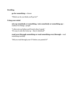# **Deciding**

#### **[go for something =](http://vocabulary.englishprofile.org/dictionary/show/uk/1030789?showLevel=b1#3305431)** choose

"Which car do you think you'll go for?"

#### **Using your mind**

**mix up somebody or something / mix somebody or something up** = confuse two things / people

"I often mix up Italian and French when I speak." "It's easy to mix the twins up – they're identical!"

**read over/through something or read something over/through** = read something carefully

"Did you read through your CV before you posted it?"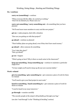# Working, Doing things , Starting and Finishing Things

## **Do / continue**

#### **carry on (something)** = continue

"When everyone left the office, he carried on working." "Don't let me disturb you. Please carry on."

**carry out something / carry something out =** do something that you have planned

"We'll need more team members to carry out this new project."

**[get o](http://vocabulary.englishprofile.org/dictionary/show/uk/1030263?showLevel=b1#1087094)n =** make progress, deal with a situation

"How are you getting on with that project?"

**go ahead** = continue as planned

"Their holiday plans are going ahead, even if they don't have much money."

**go ahead** = allow someone do something

```
"Can I take this chair?"
"Sure, go ahead!"
```
**[go on =](http://vocabulary.englishprofile.org/dictionary/show/uk/1030789?showLevel=b1#2001522)** happen

"What's going on here? Why is there so much noise in the classroom?"

```
keep up something / keep something up = continue to maintain a particular
(high) level
```
"To lose weight you'll need to keep up all your new exercise habits."

#### **Work -related**

**[give in something / give something in =](http://vocabulary.englishprofile.org/dictionary/show/uk/1030468?showLevel=b1#3018641)** give someone a piece of work for them to evaluate

"You'll need to give your final project in next week."

**[hand in](http://vocabulary.englishprofile.org/dictionary/show/uk/1032665?showLevel=b1#3019887) something / hand something in =** give someone a piece of work for them to evaluate

"I need to hand in my essay tomorrow."

**go through** = examine carefully

"The security people at the airport will probably go through your bag."

(see also "read through" in the "Thinking & Deciding" section)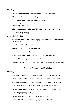### **Starting**

## **[start o](http://vocabulary.englishprofile.org/dictionary/show/uk/1068054?showLevel=b1#3040093)ff [something / start something off =](http://vocabulary.englishprofile.org/dictionary/show/uk/1068054?showLevel=b1#3040093)** begin something

"She started off her speech by thanking the president."

#### **[set up something / set something up =](http://vocabulary.englishprofile.org/dictionary/show/uk/1063196?showLevel=b1#3035655)** establish

"He set up a trust fund for his children." "They set up a small business."

### **[take up something / take something up =](http://vocabulary.englishprofile.org/dictionary/show/uk/1070886?showLevel=b1#3044001)** start a new hobby / job

"He's taken up gardening."

### **Do until it's finished**

**[cut up something / cut something up =](http://vocabulary.englishprofile.org/dictionary/show/uk/1016625?showLevel=b1#3012684)** cut the whole of something into smaller pieces

"He cut up all his credit cards."

**[end up =](http://vocabulary.englishprofile.org/dictionary/show/uk/1022406?showLevel=b1#3015330)** finally be in a place or situation

"He ended up in a great job."

## **[fill up something / fill something up](http://vocabulary.englishprofile.org/dictionary/show/uk/1025303?showLevel=b1#3016632)** = make something full

"Can you fill the car up with petrol, please?"

(See also "clear up", "tidy up", "wash up" in the "Everyday Activities" section)

# Stopping, Preventing and Excluding

## **Stopping**

## **close down (something) / close (something ) down** = stop operating

"There were four pubs in this village, but three have closed down now."

**[shut down \(something\) / shut \(something\) down =](http://vocabulary.englishprofile.org/dictionary/show/uk/1064255?showLevel=b1#3036224)** stop operating

"When the factories shut down, thousands of people lost their jobs."

# **give up (something) / give (something) up** = stop an activity or job

"When did you give up smoking?"

**give up** = stop doing something because it's too difficult

"I couldn't find the answer online - I just gave up in the end."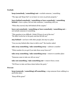## **Exclude**

**[keep \(somebody / something\) out =](http://vocabulary.englishprofile.org/dictionary/show/uk/1039223?showLevel=b1#1187000)** exclude someone / something

"The sign said 'Keep Out!' so we knew we were on private property."

**[leave behind somebody / something or leave somebody / something](http://vocabulary.englishprofile.org/dictionary/show/uk/1040532?showLevel=b1#3024409)  behind** = leave a place, but not take someone / something with you

"When they moved, they left behind all the carpets."

**leave out somebody / something or leave somebody / something out** = not include someone or something

"This question is too difficult. I think I'll leave it out of the test." "He didn't invite her to his party and she felt left out."

**[stay behind =](http://vocabulary.englishprofile.org/dictionary/show/uk/1068215?showLevel=b1#3307187)** not leave with other people, but stay in a place

"Can you stay behind after class to talk to me?" the teacher asked.

### **take away something / take something away** = subtract a number

"What number do you get if you take three away from six?"

### **take away something / take something away** = remove to another place

"Someone came to take our old car away."

#### **[take out something / take something out =](http://vocabulary.englishprofile.org/dictionary/show/uk/1070886?showLevel=b1#3043989) remove from a room**

"We'll have to take out these chairs before the party."

#### **Prevent**

**keep (someody / something) off something =** stop someone from walking in a particular place

"Keep off the grass!"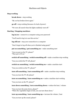# Machines and Objects

## **Stop working**

**break down** = stop working

"My car has broken down again."

**[go off =](http://vocabulary.englishprofile.org/dictionary/show/uk/1030789?showLevel=b1#2001484)** stop working (because of a lack of power)

"We were all scared when the lights suddenly went off."

# **Starting / Stopping machines**

**log in/on** = connect to a computer using your password

"You'll need to log in to use this service."

**log off/out** = stop your connection to a computer

"Don't forget to log off when you've finished using gmail."

## **put on something / put something on** = make something start

"Can you put on the TV, please?" "They put a CD on."

# **switch off something / switch something off =** make a machine stop working

"Can you switch the TV off, please?

## **[switch on something / switch something on =](http://vocabulary.englishprofile.org/dictionary/show/uk/1070558?showLevel=b1#3307240) make a machine start**

"Can you switch on the TV, please?"

## **[turn off something / turn something off =](http://vocabulary.englishprofile.org/dictionary/show/uk/1074492?showLevel=a2#3307661)** make a machine stop working

"Can you turn the TV off, please?

# **[turn on something / turn something on =](http://vocabulary.englishprofile.org/dictionary/show/uk/1074492?showLevel=a2#3307665)** make a machine start working

"Can you turn on the TV, please?"

# **[turn down something / turn something down =](http://vocabulary.englishprofile.org/dictionary/show/uk/1074492?showLevel=b1#3045904) reduce the heat / volume**

"Can you turn the noise down, please?" "When the vegetables begin to boil, you can turn them down."

## **turn up something / turn something up =** increase the volume / heat

"Can you turn up the sound, please?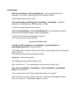#### **Using things**

**back up something / back something up** = copy something from your computer so you have a second copy if your computer crashes

"Don't forget to back up your work."

**[turn \(somebody/something\) into somebody / something](http://vocabulary.englishprofile.org/dictionary/show/uk/1074492?showLevel=b1#3045909)** = transform somebody / something into a different person / thing

"I want to turn this material into trousers."

**[wear out](http://vocabulary.englishprofile.org/dictionary/show/uk/1078163?showLevel=b1#1187154) (something) / wear (something) out=** use something so much it becomes old or damaged (clothes, objects and people!)

"I think this old sweater is beginning to wear out." "I've worn out my new shoes already!"

### Increase and Decrease

#### **cool down/off (somebody or something) / (cool somebody or something) down/off** = become less hot

"The holiday villa was great. When it got too hot, we just jumped into the swimming pool to cool off."

"You should cool down the meat before serving."

**cut down** = reduce the quantity

"I'm cutting down the amount of meat I eat."

(also "cut down on" = "I'm cutting down on the amount of meat I eat.")

#### **slow down (somebody / something ) / slow (somebody / something) down**= become slower

"Can you slow down a bit? I don't understand what you're saying!"

(also come down / go up / go down / put up = in "Money and shopping" section; turn up / turn down = "Machines & Objects" section)